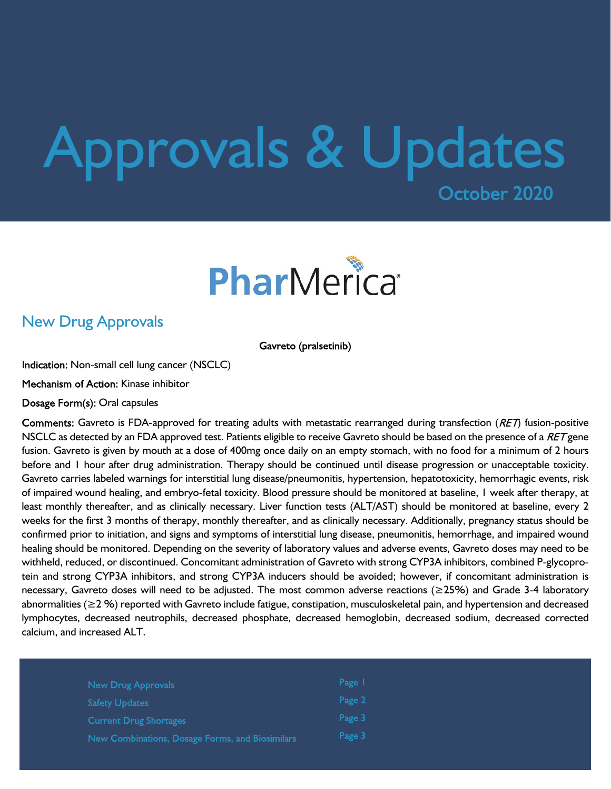# Approvals & UpdatesOctober 2020



### New Drug Approvals

Gavreto (pralsetinib)

Indication: Non-small cell lung cancer (NSCLC)

Mechanism of Action: Kinase inhibitor

Dosage Form(s): Oral capsules

Comments: Gavreto is FDA-approved for treating adults with metastatic rearranged during transfection ( $RET$ ) fusion-positive NSCLC as detected by an FDA approved test. Patients eligible to receive Gavreto should be based on the presence of a RET gene fusion. Gavreto is given by mouth at a dose of 400mg once daily on an empty stomach, with no food for a minimum of 2 hours before and 1 hour after drug administration. Therapy should be continued until disease progression or unacceptable toxicity. Gavreto carries labeled warnings for interstitial lung disease/pneumonitis, hypertension, hepatotoxicity, hemorrhagic events, risk of impaired wound healing, and embryo-fetal toxicity. Blood pressure should be monitored at baseline, 1 week after therapy, at least monthly thereafter, and as clinically necessary. Liver function tests (ALT/AST) should be monitored at baseline, every 2 weeks for the first 3 months of therapy, monthly thereafter, and as clinically necessary. Additionally, pregnancy status should be confirmed prior to initiation, and signs and symptoms of interstitial lung disease, pneumonitis, hemorrhage, and impaired wound healing should be monitored. Depending on the severity of laboratory values and adverse events, Gavreto doses may need to be withheld, reduced, or discontinued. Concomitant administration of Gavreto with strong CYP3A inhibitors, combined P-glycoprotein and strong CYP3A inhibitors, and strong CYP3A inducers should be avoided; however, if concomitant administration is necessary, Gavreto doses will need to be adjusted. The most common adverse reactions (≥25%) and Grade 3-4 laboratory abnormalities (≥2 %) reported with Gavreto include fatigue, constipation, musculoskeletal pain, and hypertension and decreased lymphocytes, decreased neutrophils, decreased phosphate, decreased hemoglobin, decreased sodium, decreased corrected calcium, and increased ALT.

| New Drug Approvals                              | Page 1 |  |
|-------------------------------------------------|--------|--|
| <b>Safety Updates</b>                           | Page 2 |  |
| <b>Current Drug Shortages</b>                   | Page 3 |  |
| New Combinations, Dosage Forms, and Biosimilars | Page 3 |  |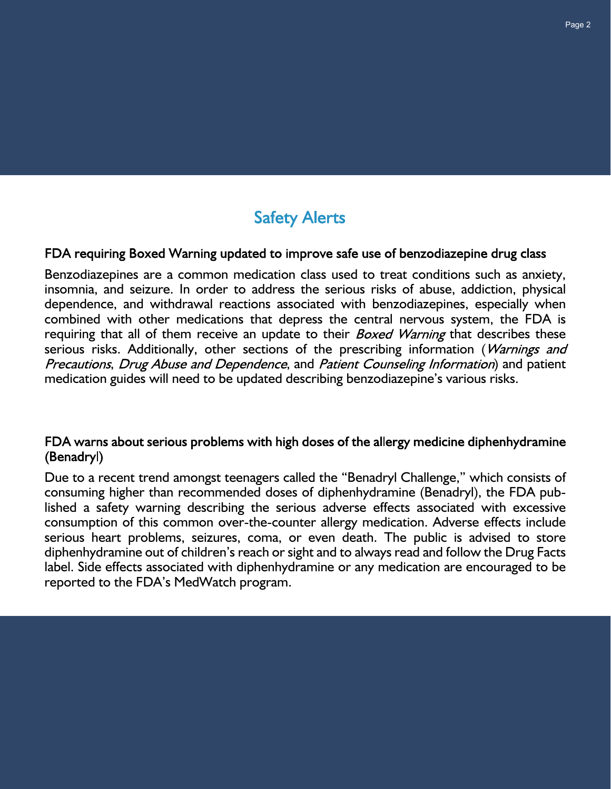## **Safety Alerts**

#### FDA requiring Boxed Warning updated to improve safe use of benzodiazepine drug class

Benzodiazepines are a common medication class used to treat conditions such as anxiety, insomnia, and seizure. In order to address the serious risks of abuse, addiction, physical dependence, and withdrawal reactions associated with benzodiazepines, especially when combined with other medications that depress the central nervous system, the FDA is requiring that all of them receive an update to their *Boxed Warning* that describes these serious risks. Additionally, other sections of the prescribing information (Warnings and Precautions, Drug Abuse and Dependence, and Patient Counseling Information) and patient medication guides will need to be updated describing benzodiazepine's various risks.

#### FDA warns about serious problems with high doses of the allergy medicine diphenhydramine (Benadryl)

Due to a recent trend amongst teenagers called the "Benadryl Challenge," which consists of consuming higher than recommended doses of diphenhydramine (Benadryl), the FDA published a safety warning describing the serious adverse effects associated with excessive consumption of this common over-the-counter allergy medication. Adverse effects include serious heart problems, seizures, coma, or even death. The public is advised to store diphenhydramine out of children's reach or sight and to always read and follow the Drug Facts label. Side effects associated with diphenhydramine or any medication are encouraged to be reported to the FDA's MedWatch program.